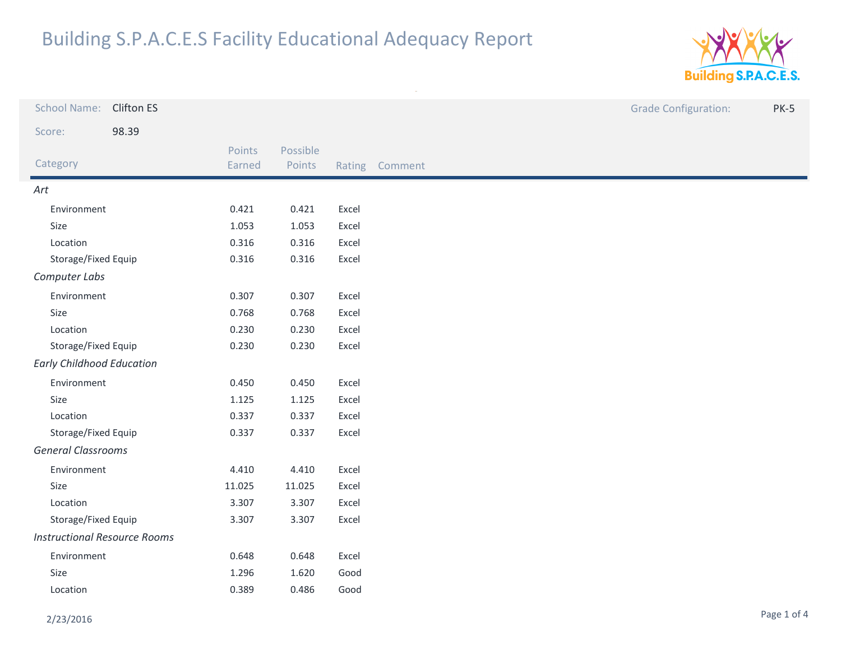

| <b>School Name:</b><br><b>Clifton ES</b> |        |          |       |                | <b>Grade Configuration:</b> |
|------------------------------------------|--------|----------|-------|----------------|-----------------------------|
| 98.39<br>Score:                          |        |          |       |                |                             |
|                                          | Points | Possible |       |                |                             |
| Category                                 | Earned | Points   |       | Rating Comment |                             |
| Art                                      |        |          |       |                |                             |
| Environment                              | 0.421  | 0.421    | Excel |                |                             |
| Size                                     | 1.053  | 1.053    | Excel |                |                             |
| Location                                 | 0.316  | 0.316    | Excel |                |                             |
| Storage/Fixed Equip                      | 0.316  | 0.316    | Excel |                |                             |
| Computer Labs                            |        |          |       |                |                             |
| Environment                              | 0.307  | 0.307    | Excel |                |                             |
| Size                                     | 0.768  | 0.768    | Excel |                |                             |
| Location                                 | 0.230  | 0.230    | Excel |                |                             |
| Storage/Fixed Equip                      | 0.230  | 0.230    | Excel |                |                             |
| <b>Early Childhood Education</b>         |        |          |       |                |                             |
| Environment                              | 0.450  | 0.450    | Excel |                |                             |
| Size                                     | 1.125  | 1.125    | Excel |                |                             |
| Location                                 | 0.337  | 0.337    | Excel |                |                             |
| Storage/Fixed Equip                      | 0.337  | 0.337    | Excel |                |                             |
| <b>General Classrooms</b>                |        |          |       |                |                             |
| Environment                              | 4.410  | 4.410    | Excel |                |                             |
| Size                                     | 11.025 | 11.025   | Excel |                |                             |
| Location                                 | 3.307  | 3.307    | Excel |                |                             |
| Storage/Fixed Equip                      | 3.307  | 3.307    | Excel |                |                             |
| <b>Instructional Resource Rooms</b>      |        |          |       |                |                             |
| Environment                              | 0.648  | 0.648    | Excel |                |                             |
| Size                                     | 1.296  | 1.620    | Good  |                |                             |
| Location                                 | 0.389  | 0.486    | Good  |                |                             |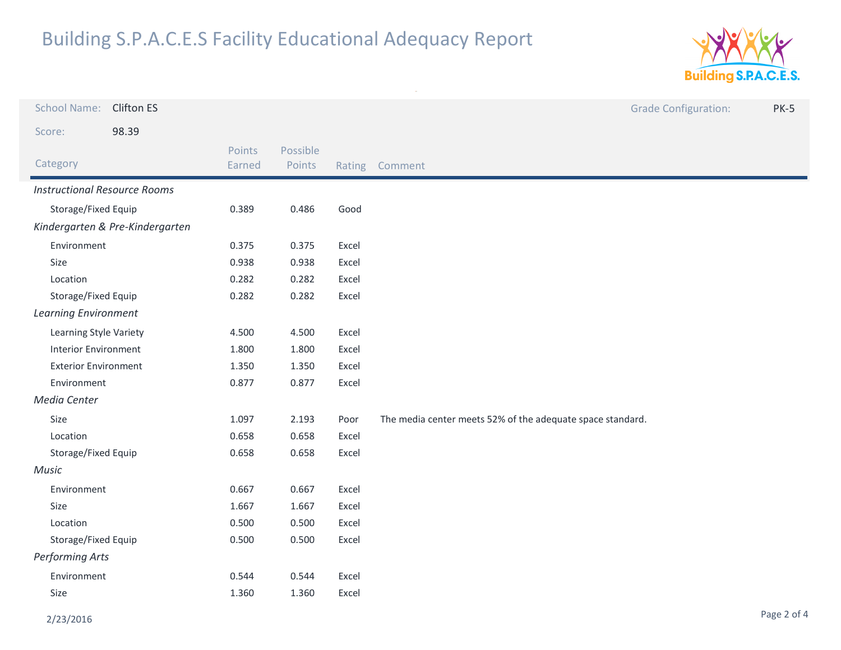

| <b>School Name:</b>                 | <b>Clifton ES</b>               |                  |                    |       |                                                            | <b>Grade Configuration:</b> | <b>PK-5</b> |
|-------------------------------------|---------------------------------|------------------|--------------------|-------|------------------------------------------------------------|-----------------------------|-------------|
| Score:                              | 98.39                           |                  |                    |       |                                                            |                             |             |
| Category                            |                                 | Points<br>Earned | Possible<br>Points |       | Rating Comment                                             |                             |             |
| <b>Instructional Resource Rooms</b> |                                 |                  |                    |       |                                                            |                             |             |
| Storage/Fixed Equip                 |                                 | 0.389            | 0.486              | Good  |                                                            |                             |             |
|                                     | Kindergarten & Pre-Kindergarten |                  |                    |       |                                                            |                             |             |
| Environment                         |                                 | 0.375            | 0.375              | Excel |                                                            |                             |             |
| Size                                |                                 | 0.938            | 0.938              | Excel |                                                            |                             |             |
| Location                            |                                 | 0.282            | 0.282              | Excel |                                                            |                             |             |
| Storage/Fixed Equip                 |                                 | 0.282            | 0.282              | Excel |                                                            |                             |             |
| <b>Learning Environment</b>         |                                 |                  |                    |       |                                                            |                             |             |
| Learning Style Variety              |                                 | 4.500            | 4.500              | Excel |                                                            |                             |             |
| <b>Interior Environment</b>         |                                 | 1.800            | 1.800              | Excel |                                                            |                             |             |
| <b>Exterior Environment</b>         |                                 | 1.350            | 1.350              | Excel |                                                            |                             |             |
| Environment                         |                                 | 0.877            | 0.877              | Excel |                                                            |                             |             |
| Media Center                        |                                 |                  |                    |       |                                                            |                             |             |
| Size                                |                                 | 1.097            | 2.193              | Poor  | The media center meets 52% of the adequate space standard. |                             |             |
| Location                            |                                 | 0.658            | 0.658              | Excel |                                                            |                             |             |
| Storage/Fixed Equip                 |                                 | 0.658            | 0.658              | Excel |                                                            |                             |             |
| Music                               |                                 |                  |                    |       |                                                            |                             |             |
| Environment                         |                                 | 0.667            | 0.667              | Excel |                                                            |                             |             |
| Size                                |                                 | 1.667            | 1.667              | Excel |                                                            |                             |             |
| Location                            |                                 | 0.500            | 0.500              | Excel |                                                            |                             |             |
| Storage/Fixed Equip                 |                                 | 0.500            | 0.500              | Excel |                                                            |                             |             |
| Performing Arts                     |                                 |                  |                    |       |                                                            |                             |             |
| Environment                         |                                 | 0.544            | 0.544              | Excel |                                                            |                             |             |
| Size                                |                                 | 1.360            | 1.360              | Excel |                                                            |                             |             |
| 2/23/2016                           |                                 |                  |                    |       |                                                            |                             | Page 2 of 4 |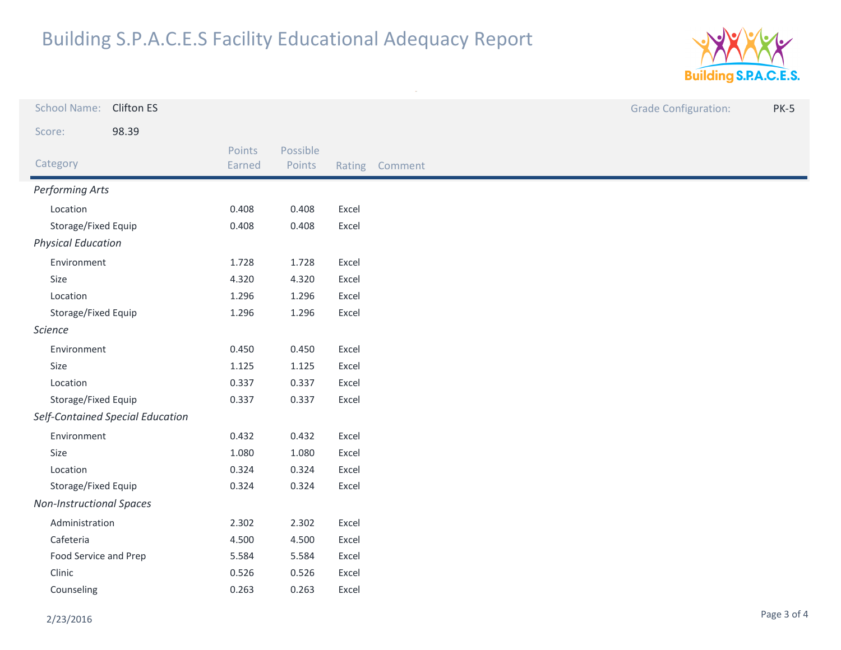

| <b>School Name:</b>             | <b>Clifton ES</b>                |        |          |       |                |
|---------------------------------|----------------------------------|--------|----------|-------|----------------|
| Score:                          | 98.39                            |        |          |       |                |
|                                 |                                  | Points | Possible |       |                |
| Category                        |                                  | Earned | Points   |       | Rating Comment |
| Performing Arts                 |                                  |        |          |       |                |
| Location                        |                                  | 0.408  | 0.408    | Excel |                |
| Storage/Fixed Equip             |                                  | 0.408  | 0.408    | Excel |                |
| <b>Physical Education</b>       |                                  |        |          |       |                |
| Environment                     |                                  | 1.728  | 1.728    | Excel |                |
| Size                            |                                  | 4.320  | 4.320    | Excel |                |
| Location                        |                                  | 1.296  | 1.296    | Excel |                |
| Storage/Fixed Equip             |                                  | 1.296  | 1.296    | Excel |                |
| Science                         |                                  |        |          |       |                |
| Environment                     |                                  | 0.450  | 0.450    | Excel |                |
| Size                            |                                  | 1.125  | 1.125    | Excel |                |
| Location                        |                                  | 0.337  | 0.337    | Excel |                |
| Storage/Fixed Equip             |                                  | 0.337  | 0.337    | Excel |                |
|                                 | Self-Contained Special Education |        |          |       |                |
| Environment                     |                                  | 0.432  | 0.432    | Excel |                |
| Size                            |                                  | 1.080  | 1.080    | Excel |                |
| Location                        |                                  | 0.324  | 0.324    | Excel |                |
| Storage/Fixed Equip             |                                  | 0.324  | 0.324    | Excel |                |
| <b>Non-Instructional Spaces</b> |                                  |        |          |       |                |
| Administration                  |                                  | 2.302  | 2.302    | Excel |                |
| Cafeteria                       |                                  | 4.500  | 4.500    | Excel |                |
| Food Service and Prep           |                                  | 5.584  | 5.584    | Excel |                |
| Clinic                          |                                  | 0.526  | 0.526    | Excel |                |
| Counseling                      |                                  | 0.263  | 0.263    | Excel |                |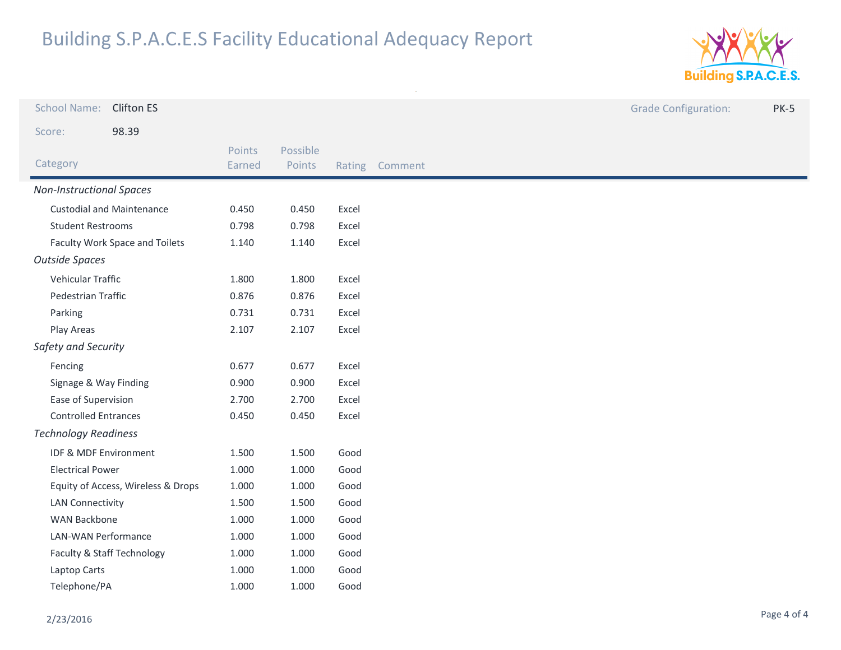

| <b>School Name:</b><br><b>Clifton ES</b><br>98.39<br>Possible<br>Points<br>Points<br>Earned<br>Rating Comment<br><b>Custodial and Maintenance</b><br>0.450<br>0.450<br>Excel<br>0.798<br><b>Student Restrooms</b><br>0.798<br>Excel<br>1.140<br>Faculty Work Space and Toilets<br>1.140<br>Excel<br>Vehicular Traffic<br>1.800<br>1.800<br>Excel<br>Pedestrian Traffic<br>0.876<br>0.876<br>Excel<br>Parking<br>0.731<br>0.731<br>Excel<br>Play Areas<br>2.107<br>2.107<br>Excel<br>0.677<br>0.677<br>Fencing<br>Excel<br>Signage & Way Finding<br>0.900<br>0.900<br>Excel<br>Ease of Supervision<br>2.700<br>2.700<br>Excel<br><b>Controlled Entrances</b><br>0.450<br>0.450<br>Excel<br>IDF & MDF Environment<br>1.500<br>1.500<br>Good<br><b>Electrical Power</b><br>1.000<br>1.000<br>Good<br>Equity of Access, Wireless & Drops<br>1.000<br>1.000<br>Good<br><b>LAN Connectivity</b><br>1.500<br>1.500<br>Good<br>WAN Backbone<br>1.000<br>1.000<br>Good |  |  |  |                             |
|---------------------------------------------------------------------------------------------------------------------------------------------------------------------------------------------------------------------------------------------------------------------------------------------------------------------------------------------------------------------------------------------------------------------------------------------------------------------------------------------------------------------------------------------------------------------------------------------------------------------------------------------------------------------------------------------------------------------------------------------------------------------------------------------------------------------------------------------------------------------------------------------------------------------------------------------------------------|--|--|--|-----------------------------|
| Score:<br>Category<br><b>Non-Instructional Spaces</b><br><b>Outside Spaces</b><br>Safety and Security<br><b>Technology Readiness</b>                                                                                                                                                                                                                                                                                                                                                                                                                                                                                                                                                                                                                                                                                                                                                                                                                          |  |  |  | <b>Grade Configuration:</b> |
|                                                                                                                                                                                                                                                                                                                                                                                                                                                                                                                                                                                                                                                                                                                                                                                                                                                                                                                                                               |  |  |  |                             |
|                                                                                                                                                                                                                                                                                                                                                                                                                                                                                                                                                                                                                                                                                                                                                                                                                                                                                                                                                               |  |  |  |                             |
|                                                                                                                                                                                                                                                                                                                                                                                                                                                                                                                                                                                                                                                                                                                                                                                                                                                                                                                                                               |  |  |  |                             |
|                                                                                                                                                                                                                                                                                                                                                                                                                                                                                                                                                                                                                                                                                                                                                                                                                                                                                                                                                               |  |  |  |                             |
|                                                                                                                                                                                                                                                                                                                                                                                                                                                                                                                                                                                                                                                                                                                                                                                                                                                                                                                                                               |  |  |  |                             |
|                                                                                                                                                                                                                                                                                                                                                                                                                                                                                                                                                                                                                                                                                                                                                                                                                                                                                                                                                               |  |  |  |                             |
|                                                                                                                                                                                                                                                                                                                                                                                                                                                                                                                                                                                                                                                                                                                                                                                                                                                                                                                                                               |  |  |  |                             |
|                                                                                                                                                                                                                                                                                                                                                                                                                                                                                                                                                                                                                                                                                                                                                                                                                                                                                                                                                               |  |  |  |                             |
|                                                                                                                                                                                                                                                                                                                                                                                                                                                                                                                                                                                                                                                                                                                                                                                                                                                                                                                                                               |  |  |  |                             |
|                                                                                                                                                                                                                                                                                                                                                                                                                                                                                                                                                                                                                                                                                                                                                                                                                                                                                                                                                               |  |  |  |                             |
|                                                                                                                                                                                                                                                                                                                                                                                                                                                                                                                                                                                                                                                                                                                                                                                                                                                                                                                                                               |  |  |  |                             |
|                                                                                                                                                                                                                                                                                                                                                                                                                                                                                                                                                                                                                                                                                                                                                                                                                                                                                                                                                               |  |  |  |                             |
|                                                                                                                                                                                                                                                                                                                                                                                                                                                                                                                                                                                                                                                                                                                                                                                                                                                                                                                                                               |  |  |  |                             |
|                                                                                                                                                                                                                                                                                                                                                                                                                                                                                                                                                                                                                                                                                                                                                                                                                                                                                                                                                               |  |  |  |                             |
|                                                                                                                                                                                                                                                                                                                                                                                                                                                                                                                                                                                                                                                                                                                                                                                                                                                                                                                                                               |  |  |  |                             |
|                                                                                                                                                                                                                                                                                                                                                                                                                                                                                                                                                                                                                                                                                                                                                                                                                                                                                                                                                               |  |  |  |                             |
|                                                                                                                                                                                                                                                                                                                                                                                                                                                                                                                                                                                                                                                                                                                                                                                                                                                                                                                                                               |  |  |  |                             |
|                                                                                                                                                                                                                                                                                                                                                                                                                                                                                                                                                                                                                                                                                                                                                                                                                                                                                                                                                               |  |  |  |                             |
|                                                                                                                                                                                                                                                                                                                                                                                                                                                                                                                                                                                                                                                                                                                                                                                                                                                                                                                                                               |  |  |  |                             |
|                                                                                                                                                                                                                                                                                                                                                                                                                                                                                                                                                                                                                                                                                                                                                                                                                                                                                                                                                               |  |  |  |                             |
|                                                                                                                                                                                                                                                                                                                                                                                                                                                                                                                                                                                                                                                                                                                                                                                                                                                                                                                                                               |  |  |  |                             |
|                                                                                                                                                                                                                                                                                                                                                                                                                                                                                                                                                                                                                                                                                                                                                                                                                                                                                                                                                               |  |  |  |                             |
|                                                                                                                                                                                                                                                                                                                                                                                                                                                                                                                                                                                                                                                                                                                                                                                                                                                                                                                                                               |  |  |  |                             |
| <b>LAN-WAN Performance</b><br>1.000<br>1.000<br>Good                                                                                                                                                                                                                                                                                                                                                                                                                                                                                                                                                                                                                                                                                                                                                                                                                                                                                                          |  |  |  |                             |
| Faculty & Staff Technology<br>1.000<br>1.000<br>Good                                                                                                                                                                                                                                                                                                                                                                                                                                                                                                                                                                                                                                                                                                                                                                                                                                                                                                          |  |  |  |                             |
| Laptop Carts<br>1.000<br>1.000<br>Good                                                                                                                                                                                                                                                                                                                                                                                                                                                                                                                                                                                                                                                                                                                                                                                                                                                                                                                        |  |  |  |                             |
| Telephone/PA<br>1.000<br>1.000<br>Good                                                                                                                                                                                                                                                                                                                                                                                                                                                                                                                                                                                                                                                                                                                                                                                                                                                                                                                        |  |  |  |                             |